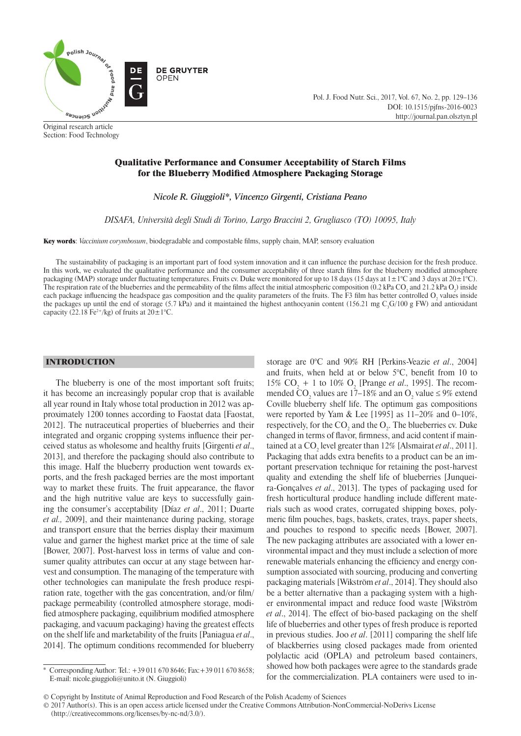

Section: Food Technology

### Pol. J. Food Nutr. Sci., 2017, Vol. 67, No. 2, pp. 129–136 DOI: 10.1515/pjfns-2016-0023 http://journal.pan.olsztyn.pl

# Qualitative Performance and Consumer Acceptability of Starch Films for the Blueberry Modified Atmosphere Packaging Storage

*Nicole R. Giuggioli\*, Vincenzo Girgenti, Cristiana Peano* 

*DISAFA, Università degli Studi di Torino, Largo Braccini 2, Grugliasco (TO) 10095, Italy*

Key words: *Vaccinium corymbosum*, biodegradable and compostable films, supply chain, MAP, sensory evaluation

The sustainability of packaging is an important part of food system innovation and it can influence the purchase decision for the fresh produce. In this work, we evaluated the qualitative performance and the consumer acceptability of three starch films for the blueberry modified atmosphere packaging (MAP) storage under fluctuating temperatures. Fruits cv. Duke were monitored for up to 18 days (15 days at  $1 \pm 1^{\circ}C$  and 3 days at  $20 \pm 1^{\circ}C$ ). The respiration rate of the blueberries and the permeability of the films affect the initial atmospheric composition (0.2 kPa CO<sub>2</sub> and 21.2 kPa O<sub>2</sub>) inside each package influencing the headspace gas composition and the quality parameters of the fruits. The F3 film has better controlled O, values inside the packages up until the end of storage (5.7 kPa) and it maintained the highest anthocyanin content (156.21 mg  $C_3G/100$  g FW) and antioxidant capacity (22.18 Fe<sup>2+</sup>/kg) of fruits at  $20 \pm 1$ °C.

## INTRODUCTION

The blueberry is one of the most important soft fruits; it has become an increasingly popular crop that is available all year round in Italy whose total production in 2012 was approximately 1200 tonnes according to Faostat data [Faostat, 2012]. The nutraceutical properties of blueberries and their integrated and organic cropping systems influence their perceived status as wholesome and healthy fruits [Girgenti *et al*., 2013], and therefore the packaging should also contribute to this image. Half the blueberry production went towards exports, and the fresh packaged berries are the most important way to market these fruits. The fruit appearance, the flavor and the high nutritive value are keys to successfully gaining the consumer's acceptability [Díaz *et al*., 2011; Duarte *et al.,* 2009], and their maintenance during packing, storage and transport ensure that the berries display their maximum value and garner the highest market price at the time of sale [Bower, 2007]. Post-harvest loss in terms of value and consumer quality attributes can occur at any stage between harvest and consumption. The managing of the temperature with other technologies can manipulate the fresh produce respiration rate, together with the gas concentration, and/or film/ package permeability (controlled atmosphere storage, modified atmosphere packaging, equilibrium modified atmosphere packaging, and vacuum packaging) having the greatest effects on the shelf life and marketability of the fruits [Paniagua *et al*., 2014]. The optimum conditions recommended for blueberry

storage are 0°C and 90% RH [Perkins-Veazie *et al*., 2004] and fruits, when held at or below  $5^{\circ}$ C, benefit from 10 to 15%  $CO_2 + 1$  to 10%  $O_2$  [Prange *et al.*, 1995]. The recommended CO<sub>2</sub> values are 17–18% and an O<sub>2</sub> value  $\leq$  9% extend Coville blueberry shelf life. The optimum gas compositions were reported by Yam & Lee [1995] as  $11-20\%$  and  $0-10\%$ , respectively, for the  $CO_2$  and the  $O_2$ . The blueberries cv. Duke changed in terms of flavor, firmness, and acid content if maintained at a CO<sub>2</sub> level greater than 12% [Alsmairat *et al.*, 2011]. Packaging that adds extra benefits to a product can be an important preservation technique for retaining the post-harvest quality and extending the shelf life of blueberries [Junqueira-Gonçalves *et al*., 2013]. The types of packaging used for fresh horticultural produce handling include different materials such as wood crates, corrugated shipping boxes, polymeric film pouches, bags, baskets, crates, trays, paper sheets, and pouches to respond to specific needs [Bower, 2007]. The new packaging attributes are associated with a lower environmental impact and they must include a selection of more renewable materials enhancing the efficiency and energy consumption associated with sourcing, producing and converting packaging materials [Wikström *et al*., 2014]. They should also be a better alternative than a packaging system with a higher environmental impact and reduce food waste [Wikström *et al*., 2014]. The effect of bio-based packaging on the shelf life of blueberries and other types of fresh produce is reported in previous studies. Joo *et al*. [2011] comparing the shelf life of blackberries using closed packages made from oriented polylactic acid (OPLA) and petroleum based containers, showed how both packages were agree to the standards grade for the commercialization. PLA containers were used to in-

<sup>\*</sup> Corresponding Author: Tel.: +39 011 670 8646; Fax:+39 011 670 8658; E-mail: nicole.giuggioli@unito.it (N. Giuggioli)

<sup>©</sup> Copyright by Institute of Animal Reproduction and Food Research of the Polish Academy of Sciences

<sup>© 2017</sup> Author(s). This is an open access article licensed under the Creative Commons Attribution-NonCommercial-NoDerivs License (http://creativecommons.org/licenses/by-nc-nd/3.0/).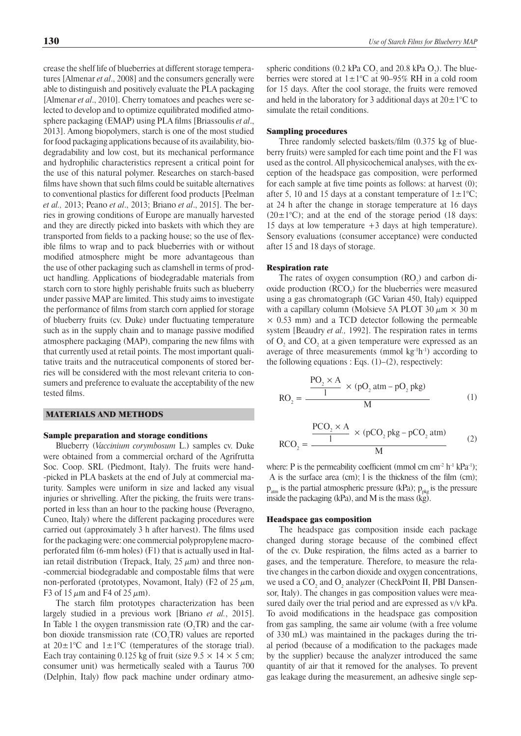crease the shelf life of blueberries at different storage temperatures [Almenar *et al*., 2008] and the consumers generally were able to distinguish and positively evaluate the PLA packaging [Almenar *et al*., 2010]. Cherry tomatoes and peaches were selected to develop and to optimize equilibrated modified atmosphere packaging (EMAP) using PLA films [Briassoulis *et al.*, 2013]. Among biopolymers, starch is one of the most studied for food packaging applications because of its availability, biodegradability and low cost, but its mechanical performance and hydrophilic characteristics represent a critical point for the use of this natural polymer. Researches on starch-based films have shown that such films could be suitable alternatives to conventional plastics for different food products [Peelman *et al.,* 2013; Peano *et al*., 2013; Briano *et al*., 2015]. The berries in growing conditions of Europe are manually harvested and they are directly picked into baskets with which they are transported from fields to a packing house; so the use of flexible films to wrap and to pack blueberries with or without modified atmosphere might be more advantageous than the use of other packaging such as clamshell in terms of product handling. Applications of biodegradable materials from starch corn to store highly perishable fruits such as blueberry under passive MAP are limited. This study aims to investigate the performance of films from starch corn applied for storage of blueberry fruits (cv. Duke) under fluctuating temperature such as in the supply chain and to manage passive modified atmosphere packaging (MAP), comparing the new films with that currently used at retail points. The most important qualitative traits and the nutraceutical components of stored berries will be considered with the most relevant criteria to consumers and preference to evaluate the acceptability of the new tested films.

## MATERIALS AND METHODS

### Sample preparation and storage conditions

Blueberry (*Vaccinium corymbosum L.*) samples cv. Duke were obtained from a commercial orchard of the Agrifrutta Soc. Coop. SRL (Piedmont, Italy). The fruits were hand- -picked in PLA baskets at the end of July at commercial maturity. Samples were uniform in size and lacked any visual injuries or shrivelling. After the picking, the fruits were transported in less than an hour to the packing house (Peveragno, Cuneo, Italy) where the different packaging procedures were carried out (approximately 3 h after harvest). The films used for the packaging were: one commercial polypropylene macroperforated film  $(6\text{-}mm$  holes)  $(F1)$  that is actually used in Italian retail distribution (Trepack, Italy,  $25 \mu m$ ) and three non--commercial biodegradable and compostable films that were non-perforated (prototypes, Novamont, Italy) (F2 of  $25 \mu m$ , F3 of 15  $\mu$ m and F4 of 25  $\mu$ m).

The starch film prototypes characterization has been largely studied in a previous work [Briano *et al.*, 2015]. In Table 1 the oxygen transmission rate  $(O_2TR)$  and the carbon dioxide transmission rate  $(CO_2TR)$  values are reported at  $20 \pm 1^{\circ}$ C and  $1 \pm 1^{\circ}$ C (temperatures of the storage trial). Each tray containing 0.125 kg of fruit (size  $9.5 \times 14 \times 5$  cm; consumer unit) was hermetically sealed with a Taurus 700 (Delphin, Italy) flow pack machine under ordinary atmo-

spheric conditions (0.2 kPa  $CO_2$  and 20.8 kPa  $O_2$ ). The blueberries were stored at  $1 \pm 1^{\circ}$ C at 90–95% RH in a cold room for 15 days. After the cool storage, the fruits were removed and held in the laboratory for 3 additional days at  $20 \pm 1^{\circ}$ C to simulate the retail conditions.

#### Sampling procedures

Three randomly selected baskets/film  $(0.375 \text{ kg of blue}$ berry fruits) were sampled for each time point and the F1 was used as the control. All physicochemical analyses, with the exception of the headspace gas composition, were performed for each sample at five time points as follows: at harvest  $(0)$ ; after 5, 10 and 15 days at a constant temperature of  $1 \pm 1^{\circ}$ C; at 24 h after the change in storage temperature at 16 days  $(20 \pm 1^{\circ}C)$ ; and at the end of the storage period (18 days: 15 days at low temperature +3 days at high temperature). Sensory evaluations (consumer acceptance) were conducted after 15 and 18 days of storage.

### Respiration rate

The rates of oxygen consumption  $(RO<sub>2</sub>)$  and carbon dioxide production  $(RCO<sub>2</sub>)$  for the blueberries were measured using a gas chromatograph (GC Varian 450, Italy) equipped with a capillary column (Molsieve 5A PLOT 30  $\mu$ m  $\times$  30 m  $\times$  0.53 mm) and a TCD detector following the permeable system [Beaudry *et al.,* 1992]. The respiration rates in terms of O<sub>2</sub> and CO<sub>2</sub> at a given temperature were expressed as an average of three measurements (mmol  $kg<sup>-1</sup>h<sup>-1</sup>$ ) according to the following equations : Eqs.  $(1)-(2)$ , respectively:

$$
RO_{2} = \frac{\frac{PO_{2} \times A}{1} \times (pO_{2} \text{ atm} - pO_{2} \text{ pkg})}{M}
$$
 (1)

$$
RCO_2 = \frac{\text{PCO}_2 \times \text{A}}{1} \times (\text{pCO}_2 \text{ pkg} - \text{pCO}_2 \text{ atm})}{M}
$$
 (2)

where: P is the permeability coefficient (mmol cm cm<sup>-2</sup> h<sup>-1</sup> kPa<sup>-1</sup>); A is the surface area (cm);  $l$  is the thickness of the film (cm);  $p_{\text{atm}}$  is the partial atmospheric pressure (kPa);  $p_{\text{obs}}$  is the pressure inside the packaging (kPa), and M is the mass (kg).

### Headspace gas composition

The headspace gas composition inside each package changed during storage because of the combined effect of the cv. Duke respiration, the films acted as a barrier to gases, and the temperature. Therefore, to measure the relative changes in the carbon dioxide and oxygen concentrations, we used a CO<sub>2</sub> and O<sub>2</sub> analyzer (CheckPoint II, PBI Dansensor, Italy). The changes in gas composition values were measured daily over the trial period and are expressed as v/v kPa. To avoid modifications in the headspace gas composition from gas sampling, the same air volume (with a free volume of 330 mL) was maintained in the packages during the trial period (because of a modification to the packages made by the supplier) because the analyzer introduced the same quantity of air that it removed for the analyses. To prevent gas leakage during the measurement, an adhesive single sep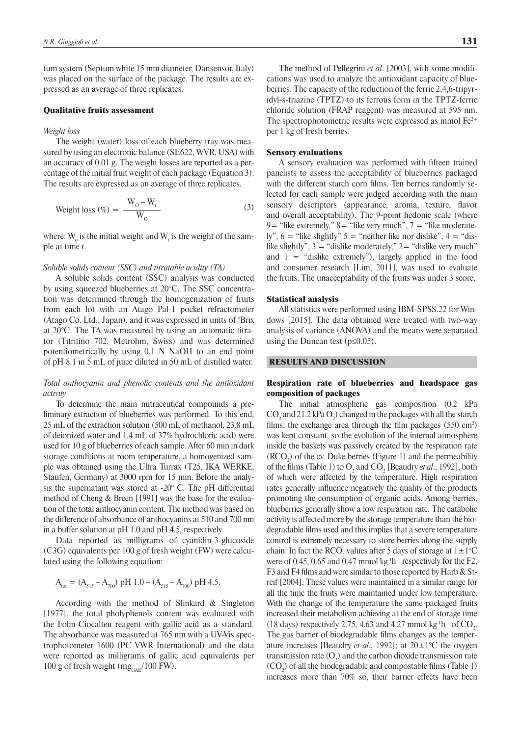tum system (Septum white 15 mm diameter, Dansensor, Italy) was placed on the surface of the package. The results are expressed as an average of three replicates.

## Qualitative fruits assessment

#### *Weight loss*

The weight (water) loss of each blueberry tray was measured by using an electronic balance (SE622, WVR, USA) with an accuracy of 0.01 g. The weight losses are reported as a percentage of the initial fruit weight of each package (Equation 3). The results are expressed as an average of three replicates.

Weight loss 
$$
(\%) = \frac{W_0 - W_t}{W_0}
$$
 (3)

where:  $W_{o}$  is the initial weight and  $W_{t}$  is the weight of the sample at time *t*.

#### *Soluble solids content (SSC) and titratable acidity (TA)*

A soluble solids content (SSC) analysis was conducted by using squeezed blueberries at 20°C. The SSC concentration was determined through the homogenization of fruits from each lot with an Atago Pal-1 pocket refractometer ( Atago Co. Ltd., Japan), and it was expressed in units of °Brix at 20°C. The TA was measured by using an automatic titrator (Titritino 702, Metrohm, Swiss) and was determined potentiometrically by using 0.1 N NaOH to an end point of pH 8.1 in 5 mL of juice diluted in 50 mL of distilled water.

## *Total anthocyanin and phenolic contents and the antioxidant activity*

To determine the main nutraceutical compounds a preliminary extraction of blueberries was performed. To this end, 25 mL of the extraction solution (500 mL of methanol, 23.8 mL of deionized water and 1.4 mL of 37% hydrochloric acid) were used for 10 g of blueberries of each sample. After 60 min in dark storage conditions at room temperature, a homogenized sample was obtained using the Ultra Turrax (T25, IKA WERKE, Staufen, Germany) at 3000 rpm for 15 min. Before the analysis the supernatant was stored at -20° C. The pH differential method of Cheng & Breen [1991] was the base for the evaluation of the total anthocyanin content. The method was based on the difference of absorbance of anthocyanins at 510 and 700 nm in a buffer solution at pH 1.0 and pH 4.5, respectively.

Data reported as milligrams of cyanidin-3-glucoside (C3G) equivalents per 100 g of fresh weight (FW) were calculated using the following equation:

$$
A_{\text{tot}} = (A_{515} - A_{700}) \text{ pH } 1.0 - (A_{515} - A_{700}) \text{ pH } 4.5.
$$

According with the method of Slinkard & Singleton [1977], the total pholyphenols content was evaluated with the Folin-Ciocalteu reagent with gallic acid as a standard. The absorbance was measured at 765 nm with a UV-Vis spectrophotometer 1600 (PC VWR International) and the data were reported as milligrams of gallic acid equivalents per 100 g of fresh weight ( $mg<sub>GAF</sub>/100$  FW).

The method of Pellegrini *et al.* [2003], with some modifications was used to analyze the antioxidant capacity of blueberries. The capacity of the reduction of the ferric 2,4,6-tripyridyl-s-triazine (TPTZ) to its ferrous form in the TPTZ-ferric chloride solution (FRAP reagent) was measured at 595 nm. The spectrophotometric results were expressed as mmol Fe2+ per 1 kg of fresh berries.

#### Sensory evaluations

A sensory evaluation was performed with fifteen trained panelists to assess the acceptability of blueberries packaged with the different starch corn films. Ten berries randomly selected for each sample were judged according with the main sensory descriptors (appearance, aroma, texture, flavor and overall acceptability). The 9-point hedonic scale (where 9= "like extremely,"  $8=$  "like very much",  $7=$  "like moderately",  $6 =$  "like slightly"  $5 =$  "neither like nor dislike",  $4 =$  "dislike slightly",  $3 =$  "dislike moderately,"  $2 =$  "dislike very much" and  $1 =$  "dislike extremely"), largely applied in the food and consumer research [Lim, 2011], was used to evaluate the fruits. The unacceptability of the fruits was under 3 score.

#### Statistical analysis

All statistics were performed using IBM-SPSS.22 for Windows [2015]. The data obtained were treated with two-way analysis of variance (ANOVA) and the means were separated using the Duncan test ( $p \le 0.05$ ).

#### RESULTS AND DISCUSSION

## Respiration rate of blueberries and headspace gas composition of packages

The initial atmospheric gas composition (0.2 kPa  $CO_2$  and 21.2 kPa  $O_2$ ) changed in the packages with all the starch films, the exchange area through the film packages  $(550 \text{ cm}^2)$ was kept constant, so the evolution of the internal atmosphere inside the baskets was passively created by the respiration rate  $(RCO<sub>2</sub>)$  of the cv. Duke berries (Figure 1) and the permeability of the films (Table 1) to  $O_2$  and  $CO_2$  [Beaudry *et al.*, 1992], both of which were affected by the temperature. High respiration rates generally influence negatively the quality of the products promoting the consumption of organic acids. Among berries, blueberries generally show a low respiration rate. The catabolic activity is affected more by the storage temperature than the biodegradable films used and this implies that a severe temperature control is extremely necessary to store berries along the supply chain. In fact the RCO<sub>2</sub> values after 5 days of storage at  $1\pm1$ <sup>o</sup>C were of 0.45, 0.65 and 0.47 mmol  $kg<sup>-1</sup>h<sup>-1</sup>$  respectively for the F2, F3 and F4 films and were similar to those reported by Harb  $&$  Streif [2004]. These values were maintained in a similar range for all the time the fruits were maintained under low temperature. With the change of the temperature the same packaged fruits increased their metabolism achieving at the end of storage time (18 days) respectively 2.75, 4.63 and 4.27 mmol  $kg<sup>-1</sup>h<sup>-1</sup>$  of  $CO_2$ . The gas barrier of biodegradable films changes as the temperature increases [Beaudry *et al*., 1992]; at 20±1°C the oxygen transmission rate  $(O_2)$  and the carbon dioxide transmission rate  $(CO<sub>2</sub>)$  of all the biodegradable and compostable films (Table 1) increases more than 70% so, their barrier effects have been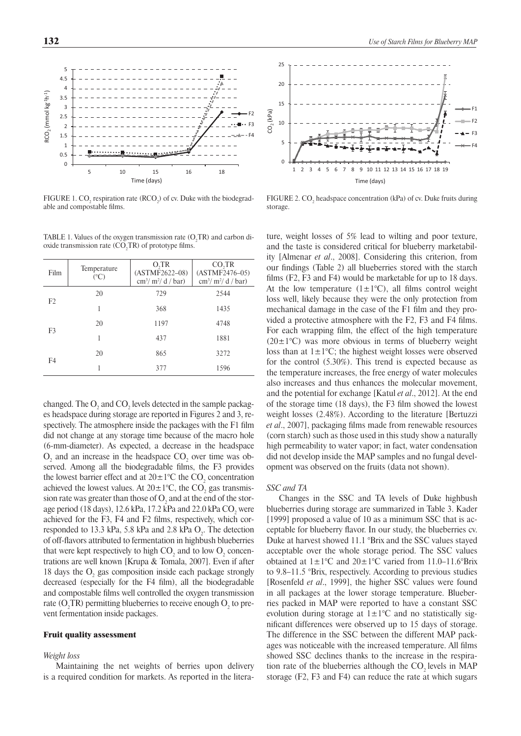

FIGURE 1.  $CO_2$  respiration rate (RCO<sub>2</sub>) of cv. Duke with the biodegradable and compostable films.

TABLE 1. Values of the oxygen transmission rate  $(O_2TR)$  and carbon dioxide transmission rate  $(CO_2TR)$  of prototype films.

| Film           | Temperature<br>$(^\circ C)$ | O, TR<br>$(ASTMF2622-08)$<br>$\text{cm}^3/\text{m}^2/\text{d}/\text{bar}$ | CO, TR<br>$(ASTMF2476-05)$<br>$\text{cm}^3/\text{m}^2/\text{d}/\text{bar}$ |
|----------------|-----------------------------|---------------------------------------------------------------------------|----------------------------------------------------------------------------|
| F <sub>2</sub> | 20                          | 729                                                                       | 2544                                                                       |
|                | 1                           | 368                                                                       | 1435                                                                       |
| F <sub>3</sub> | 20                          | 1197                                                                      | 4748                                                                       |
|                |                             | 437                                                                       | 1881                                                                       |
| F <sub>4</sub> | 20                          | 865                                                                       | 3272                                                                       |
|                |                             | 377                                                                       | 1596                                                                       |

changed. The  $O<sub>2</sub>$  and  $CO<sub>2</sub>$  levels detected in the sample packages headspace during storage are reported in Figures 2 and 3, respectively. The atmosphere inside the packages with the F1 film did not change at any storage time because of the macro hole (6-mm-diameter). As expected, a decrease in the headspace  $O<sub>2</sub>$  and an increase in the headspace  $CO<sub>2</sub>$  over time was observed. Among all the biodegradable films, the F3 provides the lowest barrier effect and at  $20 \pm 1$ °C the CO<sub>2</sub> concentration achieved the lowest values. At  $20 \pm 1^{\circ}C$ , the CO<sub>2</sub> gas transmission rate was greater than those of  $O_2$  and at the end of the storage period (18 days),  $12.6$  kPa,  $17.2$  kPa and  $22.0$  kPa  $CO$ , were achieved for the F3, F4 and F2 films, respectively, which corresponded to 13.3 kPa, 5.8 kPa and 2.8 kPa  $O_2$ . The detection of off-flavors attributed to fermentation in highbush blueberries that were kept respectively to high  $CO$ , and to low  $O$ , concentrations are well known [Krupa & Tomala, 2007]. Even if after  $18$  days the  $O<sub>2</sub>$  gas composition inside each package strongly decreased (especially for the F4 film), all the biodegradable and compostable films well controlled the oxygen transmission rate  $(O_2TR)$  permitting blueberries to receive enough  $O_2$  to prevent fermentation inside packages.

## Fruit quality assessment

#### *Weight loss*

Maintaining the net weights of berries upon delivery is a required condition for markets. As reported in the litera-



FIGURE 2. CO<sub>2</sub> headspace concentration (kPa) of cv. Duke fruits during storage.

ture, weight losses of 5% lead to wilting and poor texture, and the taste is considered critical for blueberry marketability [Almenar *et al*., 2008]. Considering this criterion, from our findings (Table 2) all blueberries stored with the starch films  $(F2, F3$  and  $F4$ ) would be marketable for up to 18 days. At the low temperature  $(1\pm1^{\circ}C)$ , all films control weight loss well, likely because they were the only protection from mechanical damage in the case of the F1 film and they provided a protective atmosphere with the F2, F3 and F4 films. For each wrapping film, the effect of the high temperature  $(20 \pm 1^{\circ}C)$  was more obvious in terms of blueberry weight loss than at  $1 \pm 1$ °C; the highest weight losses were observed for the control (5.30%). This trend is expected because as the temperature increases, the free energy of water molecules also increases and thus enhances the molecular movement, and the potential for exchange [Katul *et al*., 2012]. At the end of the storage time  $(18 \text{ days})$ , the F3 film showed the lowest weight losses (2.48%). According to the literature [Bertuzzi *et al.*, 2007], packaging films made from renewable resources (corn starch) such as those used in this study show a naturally high permeability to water vapor; in fact, water condensation did not develop inside the MAP samples and no fungal development was observed on the fruits (data not shown).

### *SSC and TA*

Changes in the SSC and TA levels of Duke highbush blueberries during storage are summarized in Table 3. Kader [1999] proposed a value of 10 as a minimum SSC that is acceptable for blueberry flavor. In our study, the blueberries cv. Duke at harvest showed 11.1 °Brix and the SSC values stayed acceptable over the whole storage period. The SSC values obtained at  $1\pm1$ °C and  $20\pm1$ °C varied from 11.0–11.6°Brix to 9.8–11.5 °Brix, respectively. According to previous studies [Rosenfeld *et al*., 1999], the higher SSC values were found in all packages at the lower storage temperature. Blueberries packed in MAP were reported to have a constant SSC evolution during storage at  $1 \pm 1$ °C and no statistically significant differences were observed up to 15 days of storage. The difference in the SSC between the different MAP packages was noticeable with the increased temperature. All films showed SSC declines thanks to the increase in the respiration rate of the blueberries although the  $CO<sub>2</sub>$  levels in MAP storage (F2, F3 and F4) can reduce the rate at which sugars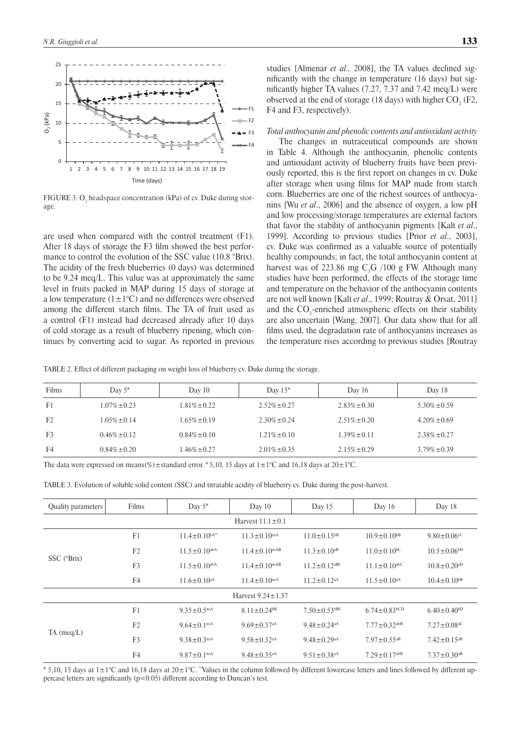

FIGURE 3.  $O<sub>2</sub>$  headspace concentration (kPa) of cv. Duke during storage.

are used when compared with the control treatment (F1). After 18 days of storage the F3 film showed the best performance to control the evolution of the SSC value (10.8 °Brix). The acidity of the fresh blueberries (0 days) was determined to be 9.24 meq/L. This value was at approximately the same level in fruits packed in MAP during 15 days of storage at a low temperature  $(1 \pm 1^{\circ}C)$  and no differences were observed among the different starch films. The TA of fruit used as a control (F1) instead had decreased already after 10 days of cold storage as a result of blueberry ripening, which continues by converting acid to sugar. As reported in previous

#### *Total anthocyanin and phenolic contents and antioxidant activity*

The changes in nutraceutical compounds are shown in Table 4. Although the anthocyanin, phenolic contents and antioxidant activity of blueberry fruits have been previously reported, this is the first report on changes in cv. Duke after storage when using films for MAP made from starch corn. Blueberries are one of the richest sources of anthocyanins [Wu *et al*., 2006] and the absence of oxygen, a low pH and low processing/storage temperatures are external factors that favor the stability of anthocyanin pigments [Kalt *et al*., 1999]. According to previous studies [Prior *et al*., 2003], cv. Duke was confirmed as a valuable source of potentially healthy compounds; in fact, the total anthocyanin content at harvest was of 223.86 mg  $C_3G$  /100 g FW. Although many studies have been performed, the effects of the storage time and temperature on the behavior of the anthocyanin contents are not well known [Kalt *et al*., 1999; Routray & Orsat, 2011] and the  $CO_2$ -enriched atmospheric effects on their stability are also uncertain [Wang, 2007]. Our data show that for all films used, the degradation rate of anthocyanins increases as the temperature rises according to previous studies [Routray

TABLE 2. Effect of different packaging on weight loss of blueberry cv. Duke during the storage.

| Films          | Day $5^*$         | Day $10$          | Day $15^*$        | Day $16$          | Day 18            |
|----------------|-------------------|-------------------|-------------------|-------------------|-------------------|
| F1             | $1.07\% \pm 0.23$ | $1.81\% \pm 0.22$ | $2.52\% \pm 0.27$ | $2.83\% \pm 0.30$ | $5.30\% \pm 0.59$ |
| F <sub>2</sub> | $1.05\% \pm 0.14$ | $1.65\% \pm 0.19$ | $2.30\% \pm 0.24$ | $2.51\% \pm 0.20$ | $4.20\% \pm 0.69$ |
| F <sub>3</sub> | $0.46\% \pm 0.12$ | $0.84\% \pm 0.10$ | $1.21\% \pm 0.10$ | $1.39\% \pm 0.11$ | $2.38\% \pm 0.27$ |
| F4             | $0.84\% \pm 0.20$ | $1.46\% \pm 0.27$ | $2.01\% \pm 0.35$ | $2.15\% \pm 0.29$ | $3.79\% \pm 0.39$ |

The data were expressed on means(%)±standard error. \* 5,10, 15 days at  $1 \pm 1$ °C and 16,18 days at 20 $\pm 1$ °C.

TABLE 3. Evolution of soluble solid content (SSC) and titratable acidity of blueberry cv. Duke during the post-harvest.

| Quality parameters     | Films          | Day $5^*$                     | Day $10$                        | Day $15$                       | Day $16$                       | Day 18                        |
|------------------------|----------------|-------------------------------|---------------------------------|--------------------------------|--------------------------------|-------------------------------|
| Harvest $11.1 \pm 0.1$ |                |                               |                                 |                                |                                |                               |
|                        | F <sub>1</sub> | $11.4 \pm 0.10^{bA^{**}}$     | $11.3 \pm 0.10$ <sup>nsA</sup>  | $11.0 \pm 0.15^{bB}$           | $10.9 \pm 0.10^{bB}$           | $9.80 \pm 0.06$ <sup>cC</sup> |
|                        | F <sub>2</sub> | $11.5 \pm 0.10^{abA}$         | $11.4 \pm 0.10$ <sup>nsAB</sup> | $11.3 \pm 0.10$ <sup>aB</sup>  | $11.0 \pm 0.10^{bC}$           | $10.5 \pm 0.06^{bD}$          |
| SSC (°Brix)            | F <sub>3</sub> | $11.5 \pm 0.10^{abA}$         | $11.4 \pm 0.10^{msAB}$          | $11.2 \pm 0.12$ <sup>aBC</sup> | $11.1 \pm 0.10^{\text{abc}}$   | $10.8 \pm 0.20$ <sup>aD</sup> |
|                        | F <sub>4</sub> | $11.6 \pm 0.10$ <sup>aA</sup> | $11.4 \pm 0.10$ <sup>nsA</sup>  | $11.2 \pm 0.12$ <sup>aA</sup>  | $11.5 \pm 0.10^{aA}$           | $10.4 \pm 0.10^{bB}$          |
|                        |                |                               | Harvest $9.24 \pm 1.37$         |                                |                                |                               |
|                        | F <sub>1</sub> | $9.35 \pm 0.5$ <sup>nsA</sup> | $8.11 \pm 0.24$ <sup>bB</sup>   | $7.50 \pm 0.53$ <sup>bBC</sup> | $6.74 \pm 0.83$ <sup>bCD</sup> | $6.40 \pm 0.40$ <sup>bD</sup> |
|                        | F <sub>2</sub> | $9.64 \pm 0.1$ <sup>nsA</sup> | $9.69 \pm 0.37$ <sup>aA</sup>   | $9.48 \pm 0.24$ <sup>aA</sup>  | $7.77 \pm 0.32$ <sup>abB</sup> | $7.27 \pm 0.08$ <sup>aC</sup> |
| $TA$ (meq/L)           | F <sub>3</sub> | $9.38 \pm 0.3$ <sup>nsA</sup> | $9.58 \pm 0.32$ <sup>aA</sup>   | $9.48 \pm 0.29$ <sup>aA</sup>  | $7.97 \pm 0.55$ <sup>aB</sup>  | $7.42 \pm 0.15$ <sup>aB</sup> |
|                        | F <sub>4</sub> | $9.87 \pm 0.1$ <sup>nsA</sup> | $9.48 \pm 0.35$ <sup>aA</sup>   | $9.51 \pm 0.38$ <sup>aA</sup>  | $7.29 \pm 0.17$ <sup>abB</sup> | $7.37 \pm 0.30$ <sup>aB</sup> |

 $*$  5,10, 15 days at  $1\pm1$ °C and 16,18 days at 20 $\pm1$ °C. "Values in the column followed by different lowercase letters and lines followed by different uppercase letters are significantly  $(p<0.05)$  different according to Duncan's test.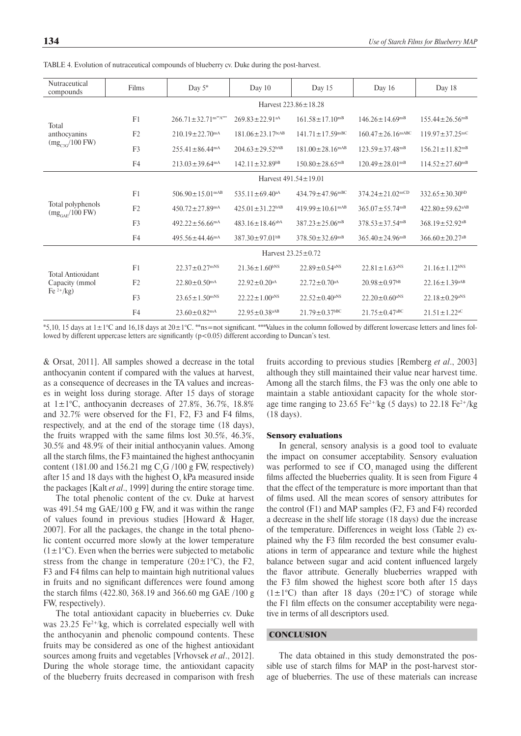| Nutraceutical<br>compounds                | Films                      | Day $5^*$                              | Day 10                            | Day 15                             | Day 16                              | Day 18                            |
|-------------------------------------------|----------------------------|----------------------------------------|-----------------------------------|------------------------------------|-------------------------------------|-----------------------------------|
|                                           | Harvest $223.86 \pm 18.28$ |                                        |                                   |                                    |                                     |                                   |
| Total<br>anthocyanins<br>$(mgC3G/100$ FW) | F1                         | $266.71 \pm 32.71$ <sup>ns**A***</sup> | $269.83 \pm 22.91$ <sup>aA</sup>  | $161.58 \pm 17.10$ <sup>nsB</sup>  | $146.26 \pm 14.69$ <sup>nsB</sup>   | $155.44 \pm 26.56$ <sup>nsB</sup> |
|                                           | F <sub>2</sub>             | $210.19 \pm 22.70$ <sup>nsA</sup>      | $181.06 \pm 23.17$ bcAB           | $141.71 \pm 17.59$ <sup>nsBC</sup> | $160.47 \pm 26.16$ <sup>nsABC</sup> | $119.97 \pm 37.25$ <sup>nsC</sup> |
|                                           | F <sub>3</sub>             | $255.41 \pm 86.44$ <sup>nsA</sup>      | $204.63 \pm 29.52$ <sup>bAB</sup> | $181.00 \pm 28.16$ <sup>nsAB</sup> | $123.59 \pm 37.48$ nsB              | $156.21 \pm 11.82$ <sup>nsB</sup> |
|                                           | F <sub>4</sub>             | $213.03 \pm 39.64$ <sup>nsA</sup>      | $142.11 \pm 32.89^{b}$            | $150.80 \pm 28.65$ <sup>nsB</sup>  | $120.49 \pm 28.01$ <sup>nsB</sup>   | $114.52 \pm 27.60$ <sup>nsB</sup> |
|                                           | Harvest $491.54 \pm 19.01$ |                                        |                                   |                                    |                                     |                                   |
| Total polyphenols<br>$(mgGAF/100$ FW)     | F1                         | $506.90 \pm 15.01$ <sup>nsAB</sup>     | 535.11 $\pm$ 69.40 <sup>aA</sup>  | $434.79 \pm 47.96$ nsBC            | $374.24 \pm 21.02$ nsCD             | $332.65 \pm 30.30^{bD}$           |
|                                           | F <sub>2</sub>             | $450.72 \pm 27.89$ <sup>nsA</sup>      | $425.01 \pm 31.22$ <sup>bAB</sup> | $419.99 \pm 10.61$ <sup>nsAB</sup> | $365.07 \pm 55.74$ <sup>nsB</sup>   | $422.80 \pm 59.62$ <sup>aAB</sup> |
|                                           | F <sub>3</sub>             | $492.22 \pm 56.66$ <sup>nsA</sup>      | $483.16 \pm 18.46$ <sup>abA</sup> | $387.23 \pm 25.06$ <sup>nsB</sup>  | $378.53 \pm 37.54$ <sup>nsB</sup>   | $368.19 \pm 52.92$ <sup>aB</sup>  |
|                                           | F <sub>4</sub>             | 495.56 $\pm$ 44.46nsA                  | $387.30 \pm 97.01$ <sup>bB</sup>  | $378.50 \pm 32.69$ <sup>nsB</sup>  | $365.40 \pm 24.96$ <sup>nsB</sup>   | $366.60 \pm 20.27$ <sup>aB</sup>  |
|                                           | Harvest $23.25 \pm 0.72$   |                                        |                                   |                                    |                                     |                                   |
| <b>Total Antioxidant</b>                  | F1                         | $22.37 \pm 0.27$ <sup>nsNS</sup>       | $21.36 \pm 1.60^{bNS}$            | $22.89 \pm 0.54$ <sup>aNS</sup>    | $22.81 \pm 1.63$ <sup>aNS</sup>     | $21.16 \pm 1.12$ <sup>bNS</sup>   |
| Capacity (mmol<br>Fe $2+/kg$ )            | F <sub>2</sub>             | $22.80 \pm 0.50$ <sup>nsA</sup>        | $22.92 \pm 0.20$ aA               | $22.72 \pm 0.70$ aA                | $20.98 \pm 0.97$ <sup>bB</sup>      | $22.16 \pm 1.39$ <sup>aAB</sup>   |
|                                           | F <sub>3</sub>             | $23.65 \pm 1.50$ <sup>nsNS</sup>       | $22.22 \pm 1.00$ <sup>aNS</sup>   | $22.52 \pm 0.40$ <sup>aNS</sup>    | $22.20 \pm 0.60$ <sup>aNS</sup>     | $22.18 \pm 0.29$ <sup>aNS</sup>   |
|                                           | F <sub>4</sub>             | $23.60 \pm 0.82$ <sup>nsA</sup>        | $22.95 \pm 0.38$ <sup>aAB</sup>   | $21.79 \pm 0.37$ <sup>bBC</sup>    | $21.75 \pm 0.47$ <sup>aBC</sup>     | $21.51 \pm 1.22$ <sup>aC</sup>    |

TABLE 4. Evolution of nutraceutical compounds of blueberry cv. Duke during the post-harvest.

\*5,10, 15 days at  $1\pm1$ °C and 16,18 days at  $20\pm1$ °C. \*\*ns=not significant. \*\*\*Values in the column followed by different lowercase letters and lines followed by different uppercase letters are significantly ( $p < 0.05$ ) different according to Duncan's test.

& Orsat, 2011]. All samples showed a decrease in the total anthocyanin content if compared with the values at harvest, as a consequence of decreases in the TA values and increases in weight loss during storage. After 15 days of storage at  $1\pm1$ °C, anthocyanin decreases of 27.8%, 36.7%, 18.8% and  $32.7\%$  were observed for the F1, F2, F3 and F4 films, respectively, and at the end of the storage time (18 days), the fruits wrapped with the same films lost  $30.5\%$ ,  $46.3\%$ , 30.5% and 48.9% of their initial anthocyanin values. Among all the starch films, the F3 maintained the highest anthocyanin content (181.00 and 156.21 mg  $C_3G/100$  g FW, respectively) after 15 and 18 days with the highest  $O<sub>2</sub>$  kPa measured inside the packages [Kalt *et al*., 1999] during the entire storage time.

The total phenolic content of the cv. Duke at harvest was 491.54 mg GAE/100 g FW, and it was within the range of values found in previous studies [Howard & Hager, 2007]. For all the packages, the change in the total phenolic content occurred more slowly at the lower temperature  $(1\pm1\degree C)$ . Even when the berries were subjected to metabolic stress from the change in temperature ( $20 \pm 1$ °C), the F2, F3 and F4 films can help to maintain high nutritional values in fruits and no significant differences were found among the starch films  $(422.80, 368.19)$  and  $366.60$  mg GAE  $/100$  g FW, respectively).

The total antioxidant capacity in blueberries cv. Duke was  $23.25$  Fe<sup> $2+/k$ </sup>g, which is correlated especially well with the anthocyanin and phenolic compound contents. These fruits may be considered as one of the highest antioxidant sources among fruits and vegetables [Vrhovsek *et al*., 2012]. During the whole storage time, the antioxidant capacity of the blueberry fruits decreased in comparison with fresh

fruits according to previous studies [Remberg *et al*., 2003] although they still maintained their value near harvest time. Among all the starch films, the F3 was the only one able to maintain a stable antioxidant capacity for the whole storage time ranging to 23.65 Fe<sup>2+/</sup>kg (5 days) to 22.18 Fe<sup>2+</sup>/kg (18 days).

#### Sensory evaluations

In general, sensory analysis is a good tool to evaluate the impact on consumer acceptability. Sensory evaluation was performed to see if  $CO$ , managed using the different films affected the blueberries quality. It is seen from Figure 4 that the effect of the temperature is more important than that of films used. All the mean scores of sensory attributes for the control (F1) and MAP samples (F2, F3 and F4) recorded a decrease in the shelf life storage (18 days) due the increase of the temperature. Differences in weight loss (Table 2) explained why the F3 film recorded the best consumer evaluations in term of appearance and texture while the highest balance between sugar and acid content influenced largely the flavor attribute. Generally blueberries wrapped with the F3 film showed the highest score both after 15 days  $(1\pm1$ °C) than after 18 days  $(20\pm1$ °C) of storage while the F1 film effects on the consumer acceptability were negative in terms of all descriptors used.

# **CONCLUSION**

The data obtained in this study demonstrated the possible use of starch films for MAP in the post-harvest storage of blueberries. The use of these materials can increase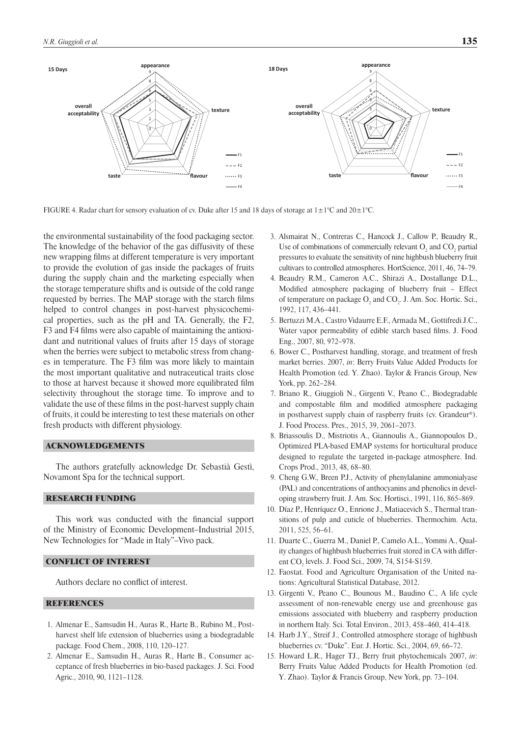

FIGURE 4. Radar chart for sensory evaluation of cv. Duke after 15 and 18 days of storage at  $1 \pm 1^{\circ}C$  and  $20 \pm 1^{\circ}C$ .

the environmental sustainability of the food packaging sector. The knowledge of the behavior of the gas diffusivity of these new wrapping films at different temperature is very important to provide the evolution of gas inside the packages of fruits during the supply chain and the marketing especially when the storage temperature shifts and is outside of the cold range requested by berries. The MAP storage with the starch films helped to control changes in post-harvest physicochemical properties, such as the pH and TA. Generally, the F2, F3 and F4 films were also capable of maintaining the antioxidant and nutritional values of fruits after 15 days of storage when the berries were subject to metabolic stress from changes in temperature. The F3 film was more likely to maintain the most important qualitative and nutraceutical traits close to those at harvest because it showed more equilibrated film selectivity throughout the storage time. To improve and to validate the use of these films in the post-harvest supply chain of fruits, it could be interesting to test these materials on other fresh products with different physiology.

## ACKNOWLEDGEMENTS

The authors gratefully acknowledge Dr. Sebastià Gestì, Novamont Spa for the technical support.

#### RESEARCH FUNDING

This work was conducted with the financial support of the Ministry of Economic Development–Industrial 2015, New Technologies for "Made in Italy"–Vivo pack.

## CONFLICT OF INTEREST

Authors declare no conflict of interest.

## **REFERENCES**

- 1. Almenar E., Samsudin H., Auras R., Harte B., Rubino M., Postharvest shelf life extension of blueberries using a biodegradable package. Food Chem., 2008, 110, 120–127.
- 2. Almenar E., Samsudin H., Auras R., Harte B., Consumer acceptance of fresh blueberries in bio-based packages. J. Sci. Food Agric., 2010, 90, 1121–1128.
- 3. Alsmairat N., Contreras C., Hancock J., Callow P., Beaudry R., Use of combinations of commercially relevant O<sub>2</sub> and CO<sub>2</sub> partial pressures to evaluate the sensitivity of nine highbush blueberry fruit cultivars to controlled atmospheres. HortScience, 2011, 46, 74–79.
- 4. Beaudry R.M., Cameron A.C., Shirazi A., Dostallange D.L., Modified atmosphere packaging of blueberry fruit  $-$  Effect of temperature on package  $O_2$  and  $CO_2$ . J. Am. Soc. Hortic. Sci., 1992, 117, 436–441.
- 5. Bertuzzi M.A., Castro Vidaurre E.F., Armada M., Gottifredi J.C., Water vapor permeability of edible starch based films. J. Food Eng., 2007, 80, 972–978.
- 6. Bower C., Postharvest handling, storage, and treatment of fresh market berries. 2007, *in*: Berry Fruits Value Added Products for Health Promotion (ed. Y. Zhao). Taylor & Francis Group, New York, pp. 262–284.
- 7. Briano R., Giuggioli N., Girgenti V., Peano C., Biodegradable and compostable film and modified atmosphere packaging in postharvest supply chain of raspberry fruits (cv. Grandeur®). J. Food Process. Pres., 2015, 39, 2061–2073.
- 8. Briassoulis D., Mistriotis A., Giannoulis A., Giannopoulos D., Optimized PLA-based EMAP systems for horticultural produce designed to regulate the targeted in-package atmosphere. Ind. Crops Prod., 2013, 48, 68–80.
- 9. Cheng G.W., Breen P.J., Activity of phenylalanine ammonialyase (PAL) and concentrations of anthocyanins and phenolics in developing strawberry fruit. J. Am. Soc. Hortisci., 1991, 116, 865–869.
- 10. Díaz P., Henríquez O., Enrione J., Matiacevich S., Thermal transitions of pulp and cuticle of blueberries. Thermochim. Acta, 2011, 525, 56–61.
- 11. Duarte C., Guerra M., Daniel P., Camelo A.L., Yommi A., Quality changes of highbush blueberries fruit stored in CA with different CO<sub>2</sub> levels. J. Food Sci., 2009, 74, S154-S159.
- 12. Faostat. Food and Agriculture Organisation of the United nations: Agricultural Statistical Database, 2012.
- 13. Girgenti V., Peano C., Bounous M., Baudino C., A life cycle assessment of non-renewable energy use and greenhouse gas emissions associated with blueberry and raspberry production in northern Italy. Sci. Total Environ., 2013, 458–460, 414–418.
- 14. Harb J.Y., Streif J., Controlled atmosphere storage of highbush blueberries cv. "Duke". Eur. J. Hortic. Sci., 2004, 69, 66–72.
- 15. Howard L.R., Hager TJ., Berry fruit phytochemicals 2007, *in*: Berry Fruits Value Added Products for Health Promotion (ed. Y. Zhao). Taylor & Francis Group, New York, pp. 73–104.